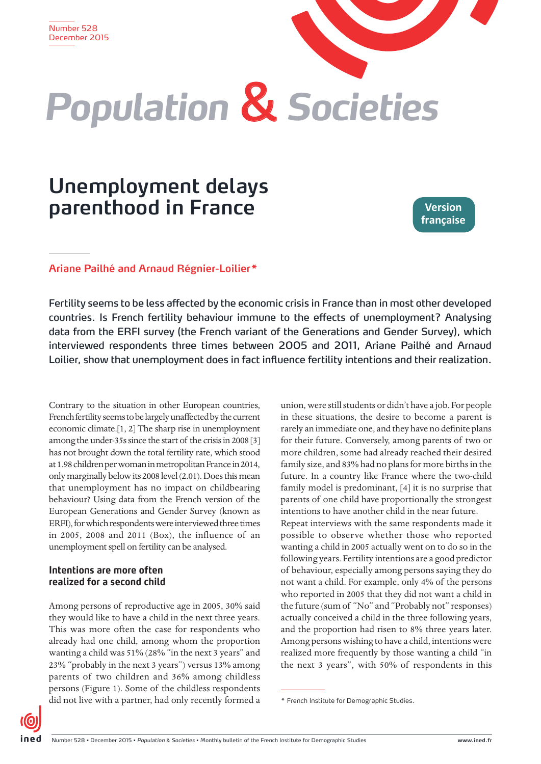# *Population* & *Societies*

# **Unemployment delays parenthood in France**

**Version française**

# **Ariane Pailhé and Arnaud Régnier-Loilier\***

Fertility seems to be less affected by the economic crisis in France than in most other developed countries. Is French fertility behaviour immune to the effects of unemployment? Analysing data from the ERFI survey (the French variant of the Generations and Gender Survey), which interviewed respondents three times between 2005 and 2011, Ariane Pailhé and Arnaud Loilier, show that unemployment does in fact influence fertility intentions and their realization.

Contrary to the situation in other European countries, French fertility seems to be largely unaffected by the current economic climate.[1, 2] The sharp rise in unemployment among the under-35s since the start of the crisis in 2008 [3] has not brought down the total fertility rate, which stood at 1.98 children per woman in metropolitan France in 2014, only marginally below its 2008 level (2.01). Does this mean that unemployment has no impact on childbearing behaviour? Using data from the French version of the European Generations and Gender Survey (known as ERFI), for which respondents were interviewed three times in 2005, 2008 and 2011 (Box), the influence of an unemployment spell on fertility can be analysed.

# **Intentions are more often realized for a second child**

Among persons of reproductive age in 2005, 30% said they would like to have a child in the next three years. This was more often the case for respondents who already had one child, among whom the proportion wanting a child was 51% (28% "in the next 3 years" and 23% "probably in the next 3 years") versus 13% among parents of two children and 36% among childless persons (Figure 1). Some of the childless respondents did not live with a partner, had only recently formed a

union, were still students or didn't have a job. For people in these situations, the desire to become a parent is rarely an immediate one, and they have no definite plans for their future. Conversely, among parents of two or more children, some had already reached their desired family size, and 83% had no plans for more births in the future. In a country like France where the two-child family model is predominant, [4] it is no surprise that parents of one child have proportionally the strongest intentions to have another child in the near future. Repeat interviews with the same respondents made it possible to observe whether those who reported wanting a child in 2005 actually went on to do so in the following years. Fertility intentions are a good predictor of behaviour, especially among persons saying they do not want a child. For example, only 4% of the persons who reported in 2005 that they did not want a child in the future (sum of "No" and "Probably not" responses) actually conceived a child in the three following years, and the proportion had risen to 8% three years later. Among persons wishing to have a child, intentions were realized more frequently by those wanting a child "in the next 3 years", with 50% of respondents in this

<sup>\*</sup> French Institute for Demographic Studies.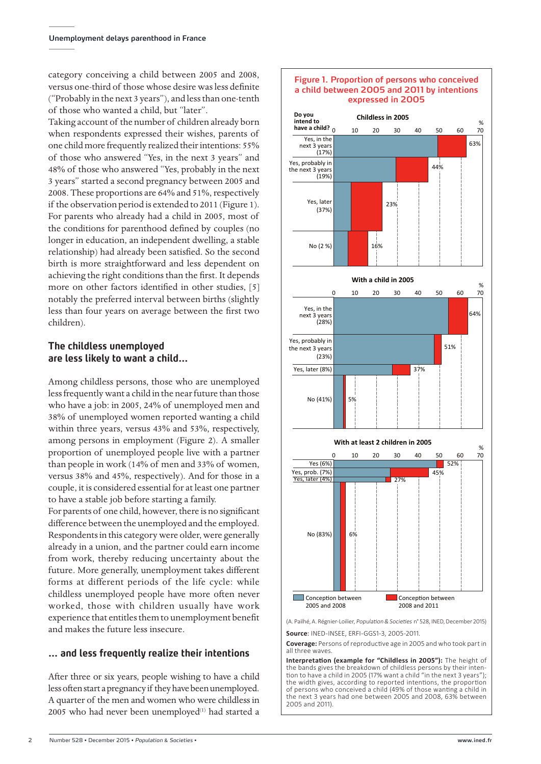category conceiving a child between 2005 and 2008, versus one-third of those whose desire was less definite ("Probably in the next 3 years"), and less than one-tenth of those who wanted a child, but "later".

Taking account of the number of children already born when respondents expressed their wishes, parents of one child more frequently realized their intentions: 55% of those who answered "Yes, in the next 3 years" and 48% of those who answered "Yes, probably in the next 3 years" started a second pregnancy between 2005 and 2008. These proportions are 64% and 51%, respectively if the observation period is extended to 2011 (Figure 1). For parents who already had a child in 2005, most of the conditions for parenthood defined by couples (no longer in education, an independent dwelling, a stable relationship) had already been satisfied. So the second birth is more straightforward and less dependent on achieving the right conditions than the first. It depends more on other factors identified in other studies, [5] notably the preferred interval between births (slightly less than four years on average between the first two children).

# **The childless unemployed are less likely to want a child…**

Among childless persons, those who are unemployed less frequently want a child in the near future than those who have a job: in 2005, 24% of unemployed men and 38% of unemployed women reported wanting a child within three years, versus 43% and 53%, respectively, among persons in employment (Figure 2). A smaller proportion of unemployed people live with a partner than people in work (14% of men and 33% of women, versus 38% and 45%, respectively). And for those in a couple, it is considered essential for at least one partner to have a stable job before starting a family.

For parents of one child, however, there is no significant difference between the unemployed and the employed. Respondents in this category were older, were generally already in a union, and the partner could earn income from work, thereby reducing uncertainty about the future. More generally, unemployment takes different forms at different periods of the life cycle: while childless unemployed people have more often never worked, those with children usually have work experience that entitles them to unemployment benefit and makes the future less insecure.

# **… and less frequently realize their intentions**

After three or six years, people wishing to have a child less often start a pregnancy if they have been unemployed. A quarter of the men and women who were childless in 2005 who had never been unemployed $(1)$  had started a



(A. Pailhé, A. Régnier-Loilier, Population & Societies n° 528, INED, December 2015)

**Source**: INED-INSEE, ERFI-GGS1-3, 2005-2011.

**Coverage:** Persons of reproductive age in 2005 and who took part in all three waves.

**Interpretation (example for "Childless in 2005"):** The height of the bands gives the breakdown of childless persons by their intention to have a child in 2005 (17% want a child "in the next 3 years"); the width gives, according to reported intentions, the proportion of persons who conceived a child (49% of those wanting a child in the next 3 years had one between 2005 and 2008, 63% between 2005 and 2011).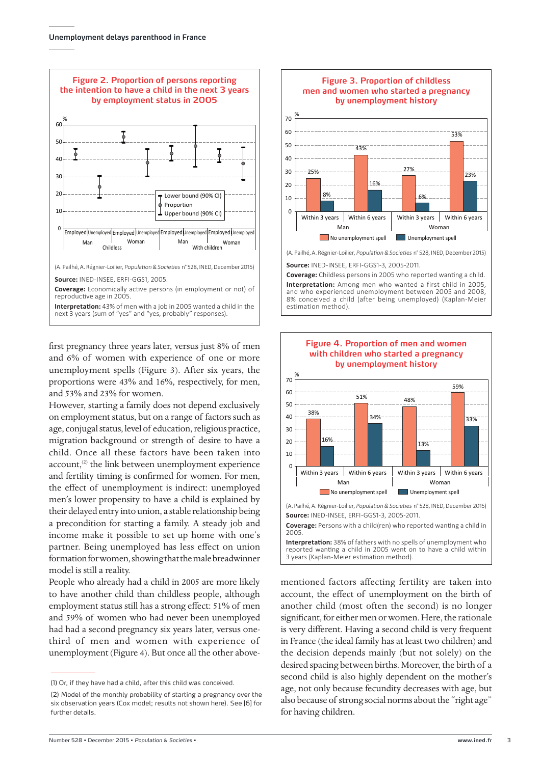

first pregnancy three years later, versus just 8% of men and 6% of women with experience of one or more unemployment spells (Figure 3). After six years, the proportions were 43% and 16%, respectively, for men, and 53% and 23% for women.

However, starting a family does not depend exclusively on employment status, but on a range of factors such as age, conjugal status, level of education, religious practice, migration background or strength of desire to have a child. Once all these factors have been taken into  $account<sub>1</sub><sup>(2)</sup>$  the link between unemployment experience and fertility timing is confirmed for women. For men, the effect of unemployment is indirect: unemployed men's lower propensity to have a child is explained by their delayed entry into union, a stable relationship being a precondition for starting a family. A steady job and income make it possible to set up home with one's partner. Being unemployed has less effect on union formation for women, showing that the male breadwinner model is still a reality.

People who already had a child in 2005 are more likely to have another child than childless people, although employment status still has a strong effect: 51% of men and 59% of women who had never been unemployed had had a second pregnancy six years later, versus onethird of men and women with experience of unemployment (Figure 4). But once all the other above-



**Source:** INED-INSEE, ERFI-GGS1-3, 2005-2011.

**Coverage:** Childless persons in 2005 who reported wanting a child. **Interpretation:** Among men who wanted a first child in 2005, and who experienced unemployment between 2005 and 2008, 8% conceived a child (after being unemployed) (Kaplan-Meier estimation method).



mentioned factors affecting fertility are taken into account, the effect of unemployment on the birth of another child (most often the second) is no longer significant, for either men or women. Here, the rationale is very different. Having a second child is very frequent in France (the ideal family has at least two children) and the decision depends mainly (but not solely) on the desired spacing between births. Moreover, the birth of a second child is also highly dependent on the mother's age, not only because fecundity decreases with age, but also because of strong social norms about the "right age" for having children.

<sup>(1)</sup> Or, if they have had a child, after this child was conceived.

<sup>(2)</sup> Model of the monthly probability of starting a pregnancy over the six observation years (Cox model; results not shown here). See [6] for further details.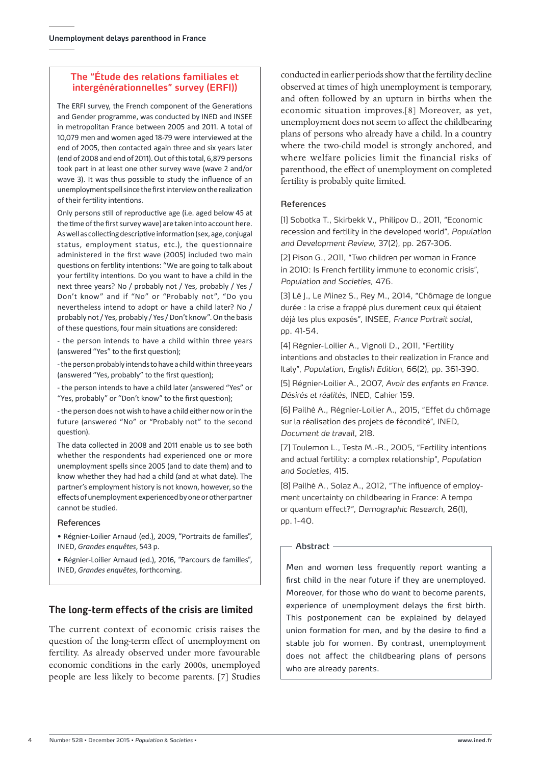### **The "Étude des relations familiales et intergénérationnelles" survey (ERFI))**

The ERFI survey, the French component of the Generations and Gender programme, was conducted by INED and INSEE in metropolitan France between 2005 and 2011. A total of 10,079 men and women aged 18-79 were interviewed at the end of 2005, then contacted again three and six years later (end of 2008 and end of 2011). Out of this total, 6,879 persons took part in at least one other survey wave (wave 2 and/or wave 3). It was thus possible to study the influence of an unemployment spell since the first interview on the realization of their fertility intentions.

Only persons still of reproductive age (i.e. aged below 45 at the time of the first survey wave) are taken into account here. As well as collecting descriptive information (sex, age, conjugal status, employment status, etc.), the questionnaire administered in the first wave (2005) included two main questions on fertility intentions: "We are going to talk about your fertility intentions. Do you want to have a child in the next three years? No / probably not / Yes, probably / Yes / Don't know" and if "No" or "Probably not", "Do you nevertheless intend to adopt or have a child later? No / probably not / Yes, probably / Yes / Don't know". On the basis of these questions, four main situations are considered:

- the person intends to have a child within three years (answered "Yes" to the first question);

- the person probably intends to have a child within three years (answered "Yes, probably" to the first question);

- the person intends to have a child later (answered "Yes" or "Yes, probably" or "Don't know" to the first question);

- the person does not wish to have a child either now or in the future (answered "No" or "Probably not" to the second question).

The data collected in 2008 and 2011 enable us to see both whether the respondents had experienced one or more unemployment spells since 2005 (and to date them) and to know whether they had had a child (and at what date). The partner's employment history is not known, however, so the effects of unemployment experienced by one or other partner cannot be studied.

#### References

• Régnier-Loilier Arnaud (ed.), 2009, "Portraits de familles", Ined, *Grandes enquêtes*, 543 p.

• Régnier-Loilier Arnaud (ed.), 2016, "Parcours de familles",

# **The long-term effects of the crisis are limited**

The current context of economic crisis raises the question of the long-term effect of unemployment on fertility. As already observed under more favourable economic conditions in the early 2000s, unemployed people are less likely to become parents. [7] Studies

conducted in earlier periods show that the fertility decline observed at times of high unemployment is temporary, and often followed by an upturn in births when the economic situation improves.[8] Moreover, as yet, unemployment does not seem to affect the childbearing plans of persons who already have a child. In a country where the two-child model is strongly anchored, and where welfare policies limit the financial risks of parenthood, the effect of unemployment on completed fertility is probably quite limited.

#### References

[1] Sobotka T., Skirbekk V., Philipov D., 2011, "Economic recession and fertility in the developed world", *Population and Development Review*, 37(2), pp. 267-306.

[2] Pison G., 2011, "Two children per woman in France in 2010: Is French fertility immune to economic crisis", *Population and Societies*, 476.

[3] Lê J., Le Minez S., Rey M., 2014, "Chômage de longue durée : la crise a frappé plus durement ceux qui étaient déjà les plus exposés", INSEE, *France Portrait social*, pp. 41-54.

[4] Régnier-Loilier A., Vignoli D., 2011, "Fertility intentions and obstacles to their realization in France and Italy", *Population, English Edition*, 66(2), pp. 361-390.

[5] Régnier-Loilier A., 2007, *Avoir des enfants en France. Désirés et réalités*, INED, Cahier 159.

[6] Pailhé A., Régnier-Loilier A., 2015, "Effet du chômage sur la réalisation des projets de fécondité", INED, *Document de travail*, 218.

[7] Toulemon L., Testa M.-R., 2005, "Fertility intentions and actual fertility: a complex relationship", *Population and Societies*, 415.

[8] Pailhé A., Solaz A., 2012, "The influence of employment uncertainty on childbearing in France: A tempo or quantum effect?", *Demographic Research*, 26(1), pp. 1-40.

#### - Ahstract -

Ined, *Grandes enquêtes*, forthcoming. Men and women less frequently report wanting a first child in the near future if they are unemployed. Moreover, for those who do want to become parents, experience of unemployment delays the first birth. This postponement can be explained by delayed union formation for men, and by the desire to find a stable job for women. By contrast, unemployment does not affect the childbearing plans of persons who are already parents.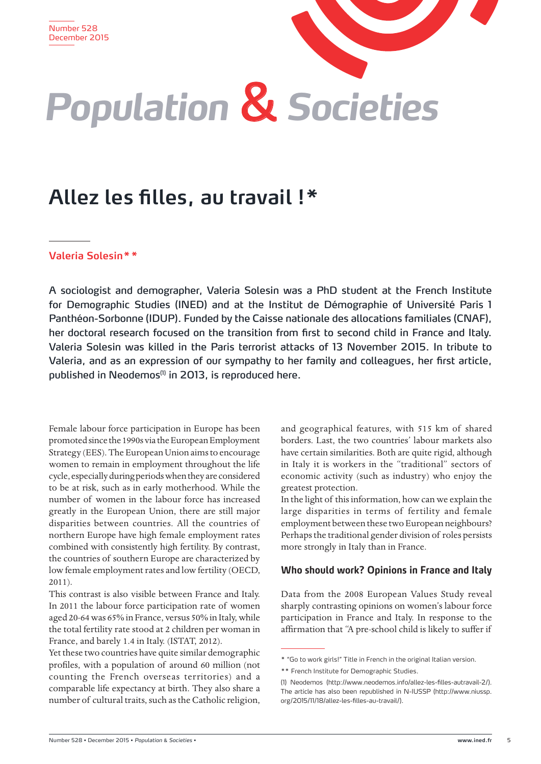# *Population* & *Societies*

# **Allez les filles, au travail !\***

# **Valeria Solesin\*\***

A sociologist and demographer, Valeria Solesin was a PhD student at the French Institute for Demographic Studies (INED) and at the Institut de Démographie of Université Paris 1 Panthéon-Sorbonne (IDUP). Funded by the Caisse nationale des allocations familiales (CNAF), her doctoral research focused on the transition from first to second child in France and Italy. Valeria Solesin was killed in the Paris terrorist attacks of 13 November 2015. In tribute to Valeria, and as an expression of our sympathy to her family and colleagues, her first article, published in Neodemos<sup>(1)</sup> in 2013, is reproduced here.

Female labour force participation in Europe has been promoted since the 1990s via the European Employment Strategy (EES). The European Union aims to encourage women to remain in employment throughout the life cycle, especially during periods when they are considered to be at risk, such as in early motherhood. While the number of women in the labour force has increased greatly in the European Union, there are still major disparities between countries. All the countries of northern Europe have high female employment rates combined with consistently high fertility. By contrast, the countries of southern Europe are characterized by low female employment rates and low fertility (OECD, 2011).

This contrast is also visible between France and Italy. In 2011 the labour force participation rate of women aged 20-64 was 65% in France, versus 50% in Italy, while the total fertility rate stood at 2 children per woman in France, and barely 1.4 in Italy. (ISTAT, 2012).

Yet these two countries have quite similar demographic profiles, with a population of around 60 million (not counting the French overseas territories) and a comparable life expectancy at birth. They also share a number of cultural traits, such as the Catholic religion, and geographical features, with 515 km of shared borders. Last, the two countries' labour markets also have certain similarities. Both are quite rigid, although in Italy it is workers in the "traditional" sectors of economic activity (such as industry) who enjoy the greatest protection.

In the light of this information, how can we explain the large disparities in terms of fertility and female employment between these two European neighbours? Perhaps the traditional gender division of roles persists more strongly in Italy than in France.

# **Who should work? Opinions in France and Italy**

Data from the 2008 European Values Study reveal sharply contrasting opinions on women's labour force participation in France and Italy. In response to the affirmation that "A pre-school child is likely to suffer if

<sup>\* &</sup>quot;Go to work girls!" Title in French in the original Italian version.

<sup>\*\*</sup> French Institute for Demographic Studies.

<sup>(1)</sup> Neodemos (http://www.neodemos.info/allez-les-filles-autravail-2/). The article has also been republished in N-IUSSP (http://www.niussp. org/2015/11/18/allez-les-filles-au-travail/).